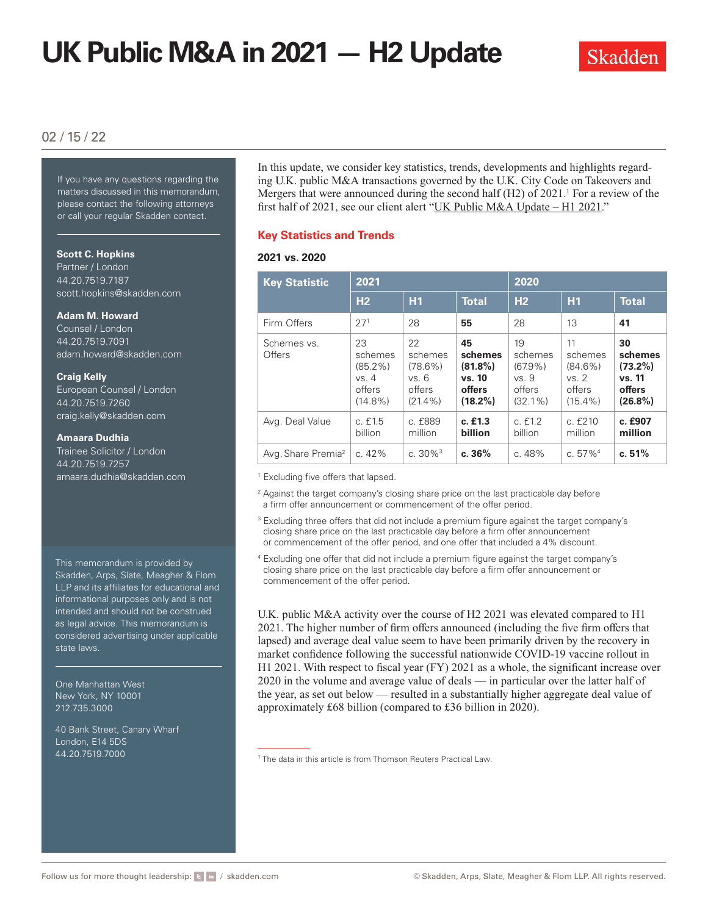# **UK Public M&A in 2021 — H2 Update**



# 02 / 15 / 22

If you have any questions regarding the matters discussed in this memorandum, please contact the following attorneys or call your regular Skadden contact.

### **Scott C. Hopkins**

Partner / London 44.20.7519.7187 [scott.hopkins@skadden.com](mailto:scott.hopkins@skadden.com)

#### **Adam M. Howard**

Counsel / London 44.20.7519.7091 [adam.howard@skadden.com](mailto:adam.howard@skadden.com)

#### **Craig Kelly**

European Counsel / London 44.20.7519.7260 [craig.kelly@skadden.com](mailto:craig.kelly@skadden.com)

### **Amaara Dudhia**

Trainee Solicitor / London 44.20.7519.7257 [amaara.dudhia@skadden.com](mailto: amaara.dudhia@skadden.com)

This memorandum is provided by Skadden, Arps, Slate, Meagher & Flom LLP and its affiliates for educational and informational purposes only and is not intended and should not be construed as legal advice. This memorandum is considered advertising under applicable state laws.

One Manhattan West New York, NY 10001 212.735.3000

40 Bank Street, Canary Wharf London, E14 5DS 44.20.7519.7000

In this update, we consider key statistics, trends, developments and highlights regarding U.K. public M&A transactions governed by the U.K. City Code on Takeovers and Mergers that were announced during the second half  $(H2)$  of 2021.<sup>1</sup> For a review of the first half of 2021, see our client alert "[UK Public M&A Update – H1 2021](https://www.skadden.com/insights/publications/2021/07/uk-public-ma-update-h1-2021)."

### **Key Statistics and Trends**

### **2021 vs. 2020**

| <b>Key Statistic</b>           | 2021                                                         |                                                             |                                                                      | 2020                                                         |                                                              |                                                               |
|--------------------------------|--------------------------------------------------------------|-------------------------------------------------------------|----------------------------------------------------------------------|--------------------------------------------------------------|--------------------------------------------------------------|---------------------------------------------------------------|
|                                | H <sub>2</sub>                                               | H1                                                          | <b>Total</b>                                                         | H <sub>2</sub>                                               | H1                                                           | <b>Total</b>                                                  |
| Firm Offers                    | 27 <sup>1</sup>                                              | 28                                                          | 55                                                                   | 28                                                           | 13                                                           | 41                                                            |
| Schemes vs.<br>Offers          | 23<br>schemes<br>$(85.2\%)$<br>vs. 4<br>offers<br>$(14.8\%)$ | 22<br>schemes<br>$(78.6\%)$<br>VS.6<br>offers<br>$(21.4\%)$ | 45<br>schemes<br>$(81.8\%)$<br>vs. 10<br><b>offers</b><br>$(18.2\%)$ | 19<br>schemes<br>$(67.9\%)$<br>vs. 9<br>offers<br>$(32.1\%)$ | 11<br>schemes<br>$(84.6\%)$<br>vs. 2<br>offers<br>$(15.4\%)$ | 30<br>schemes<br>$(73.2\%)$<br>vs. 11<br>offers<br>$(26.8\%)$ |
| Avg. Deal Value                | c. f1.5<br>billion                                           | c. £889<br>million                                          | c. f1.3<br>billion                                                   | c. f1.2<br>billion                                           | c. f210<br>million                                           | c. £907<br>million                                            |
| Avg. Share Premia <sup>2</sup> | c. $42%$                                                     | c. $30\%$ <sup>3</sup>                                      | c.36%                                                                | c. 48%                                                       | c. $57\%$ <sup>4</sup>                                       | c.51%                                                         |

<sup>1</sup> Excluding five offers that lapsed.

- <sup>2</sup> Against the target company's closing share price on the last practicable day before a firm offer announcement or commencement of the offer period.
- <sup>3</sup> Excluding three offers that did not include a premium figure against the target company's closing share price on the last practicable day before a firm offer announcement or commencement of the offer period, and one offer that included a 4% discount.
- <sup>4</sup> Excluding one offer that did not include a premium figure against the target company's closing share price on the last practicable day before a firm offer announcement or commencement of the offer period.

U.K. public M&A activity over the course of H2 2021 was elevated compared to H1 2021. The higher number of firm offers announced (including the five firm offers that lapsed) and average deal value seem to have been primarily driven by the recovery in market confidence following the successful nationwide COVID-19 vaccine rollout in H1 2021. With respect to fiscal year (FY) 2021 as a whole, the significant increase over 2020 in the volume and average value of deals — in particular over the latter half of the year, as set out below — resulted in a substantially higher aggregate deal value of approximately £68 billion (compared to £36 billion in 2020).

<sup>1</sup> The data in this article is from Thomson Reuters Practical Law.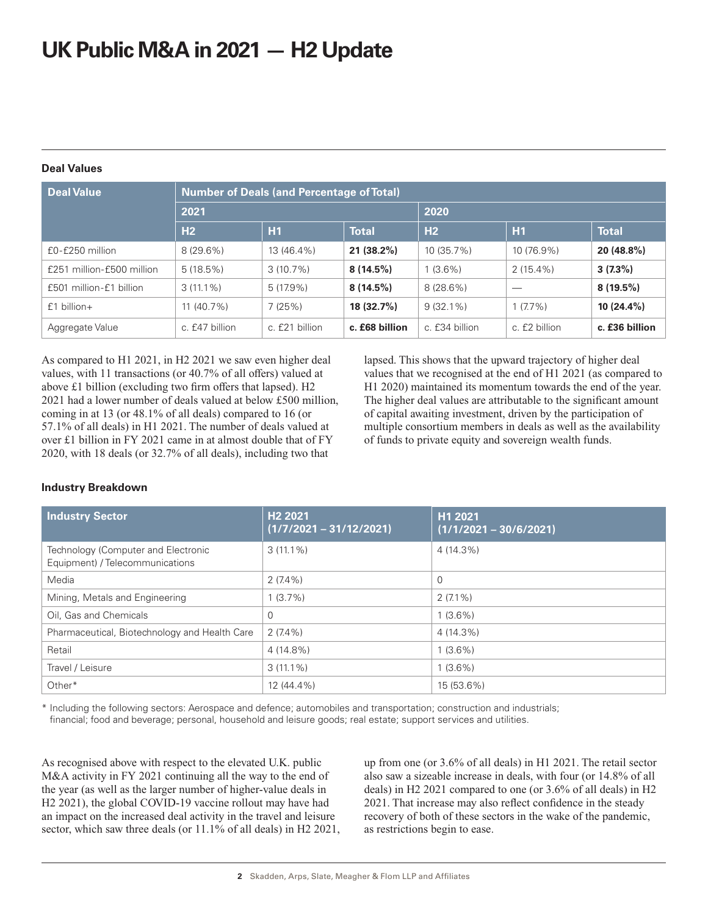# **UK Public M&A in 2021 — H2 Update**

| <b>Deal Values</b> |  |
|--------------------|--|
|                    |  |

| <b>Deal Value</b>         | <b>Number of Deals (and Percentage of Total)</b> |                |                |                |               |                |
|---------------------------|--------------------------------------------------|----------------|----------------|----------------|---------------|----------------|
|                           | 2021                                             |                |                | 2020           |               |                |
|                           | H2                                               | H1             | <b>Total</b>   | H <sub>2</sub> | H1            | <b>Total</b>   |
| £0-£250 million           | $8(29.6\%)$                                      | 13 (46.4%)     | $21(38.2\%)$   | 10 (35.7%)     | 10 (76.9%)    | 20 (48.8%)     |
| £251 million-£500 million | 5(18.5%)                                         | $3(10.7\%)$    | $8(14.5\%)$    | $1(3.6\%)$     | $2(15.4\%)$   | $3(7.3\%)$     |
| £501 million-£1 billion   | $3(11.1\%)$                                      | $5(17.9\%)$    | $8(14.5\%)$    | $8(28.6\%)$    |               | $8(19.5\%)$    |
| $f1$ billion +            | $11(40.7\%)$                                     | 7(25%)         | 18(32.7%)      | $9(32.1\%)$    | $1(7.7\%)$    | $10(24.4\%)$   |
| Aggregate Value           | c. £47 billion                                   | c. £21 billion | c. £68 billion | c. £34 billion | c. £2 billion | c. £36 billion |

As compared to H1 2021, in H2 2021 we saw even higher deal values, with 11 transactions (or 40.7% of all offers) valued at above £1 billion (excluding two firm offers that lapsed). H2 2021 had a lower number of deals valued at below £500 million, coming in at 13 (or 48.1% of all deals) compared to 16 (or 57.1% of all deals) in H1 2021. The number of deals valued at over £1 billion in FY 2021 came in at almost double that of FY 2020, with 18 deals (or 32.7% of all deals), including two that

lapsed. This shows that the upward trajectory of higher deal values that we recognised at the end of H1 2021 (as compared to H1 2020) maintained its momentum towards the end of the year. The higher deal values are attributable to the significant amount of capital awaiting investment, driven by the participation of multiple consortium members in deals as well as the availability of funds to private equity and sovereign wealth funds.

# **Industry Breakdown**

| <b>Industry Sector</b>                                                 | H <sub>2</sub> 2021<br>$(1/7/2021 - 31/12/2021)$ | H1 2021<br>$(1/1/2021 - 30/6/2021)$ |
|------------------------------------------------------------------------|--------------------------------------------------|-------------------------------------|
| Technology (Computer and Electronic<br>Equipment) / Telecommunications | $3(11.1\%)$                                      | 4 (14.3%)                           |
| Media                                                                  | $2(7.4\%)$                                       | 0                                   |
| Mining, Metals and Engineering                                         | $1(3.7\%)$                                       | $2(7.1\%)$                          |
| Oil, Gas and Chemicals                                                 | $\Omega$                                         | $1(3.6\%)$                          |
| Pharmaceutical, Biotechnology and Health Care                          | $2(7.4\%)$                                       | 4 (14.3%)                           |
| Retail                                                                 | 4 (14.8%)                                        | $1(3.6\%)$                          |
| Travel / Leisure                                                       | $3(11.1\%)$                                      | $1(3.6\%)$                          |
| Other*                                                                 | 12 (44.4%)                                       | 15 (53.6%)                          |

\* Including the following sectors: Aerospace and defence; automobiles and transportation; construction and industrials; financial; food and beverage; personal, household and leisure goods; real estate; support services and utilities.

As recognised above with respect to the elevated U.K. public M&A activity in FY 2021 continuing all the way to the end of the year (as well as the larger number of higher-value deals in H2 2021), the global COVID-19 vaccine rollout may have had an impact on the increased deal activity in the travel and leisure sector, which saw three deals (or 11.1% of all deals) in H2 2021,

up from one (or 3.6% of all deals) in H1 2021. The retail sector also saw a sizeable increase in deals, with four (or 14.8% of all deals) in H2 2021 compared to one (or 3.6% of all deals) in H2 2021. That increase may also reflect confidence in the steady recovery of both of these sectors in the wake of the pandemic, as restrictions begin to ease.